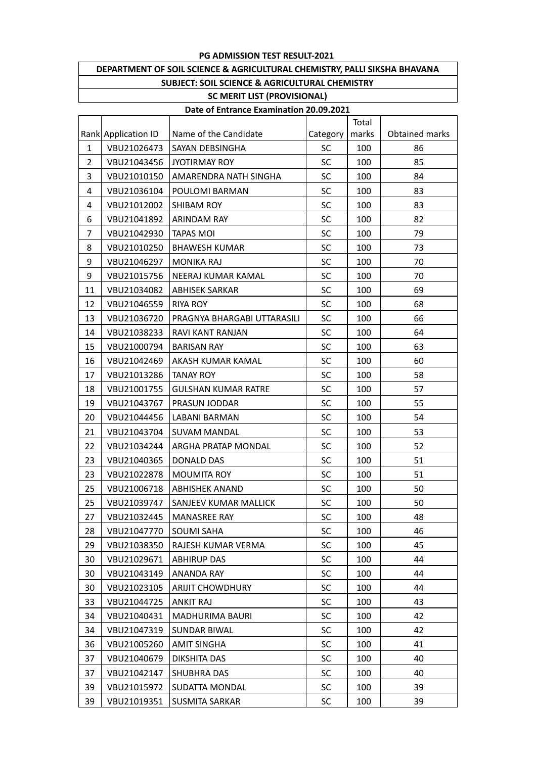## **PG ADMISSION TEST RESULT-2021**

| DEPARTMENT OF SOIL SCIENCE & AGRICULTURAL CHEMISTRY, PALLI SIKSHA BHAVANA |  |  |  |  |  |  |
|---------------------------------------------------------------------------|--|--|--|--|--|--|
| SUBJECT: SOIL SCIENCE & AGRICULTURAL CHEMISTRY                            |  |  |  |  |  |  |
| <b>SC MERIT LIST (PROVISIONAL)</b>                                        |  |  |  |  |  |  |

## **Date of Entrance Examination 20.09.2021**

|                |                     |                             |           | Total |                |
|----------------|---------------------|-----------------------------|-----------|-------|----------------|
|                | Rank Application ID | Name of the Candidate       | Category  | marks | Obtained marks |
| $\mathbf{1}$   | VBU21026473         | <b>SAYAN DEBSINGHA</b>      | <b>SC</b> | 100   | 86             |
| $\overline{2}$ | VBU21043456         | JYOTIRMAY ROY               | SC        | 100   | 85             |
| 3              | VBU21010150         | AMARENDRA NATH SINGHA       | <b>SC</b> | 100   | 84             |
| 4              | VBU21036104         | POULOMI BARMAN              | SC        | 100   | 83             |
| 4              | VBU21012002         | <b>SHIBAM ROY</b>           | SC        | 100   | 83             |
| 6              | VBU21041892         | <b>ARINDAM RAY</b>          | SC        | 100   | 82             |
| 7              | VBU21042930         | <b>TAPAS MOI</b>            | SC        | 100   | 79             |
| 8              | VBU21010250         | <b>BHAWESH KUMAR</b>        | SC        | 100   | 73             |
| 9              | VBU21046297         | <b>MONIKA RAJ</b>           | SC        | 100   | 70             |
| 9              | VBU21015756         | NEERAJ KUMAR KAMAL          | SC        | 100   | 70             |
| 11             | VBU21034082         | <b>ABHISEK SARKAR</b>       | <b>SC</b> | 100   | 69             |
| 12             | VBU21046559         | <b>RIYA ROY</b>             | SC        | 100   | 68             |
| 13             | VBU21036720         | PRAGNYA BHARGABI UTTARASILI | SC        | 100   | 66             |
| 14             | VBU21038233         | RAVI KANT RANJAN            | SC        | 100   | 64             |
| 15             | VBU21000794         | <b>BARISAN RAY</b>          | SC        | 100   | 63             |
| 16             | VBU21042469         | AKASH KUMAR KAMAL           | SC        | 100   | 60             |
| 17             | VBU21013286         | <b>TANAY ROY</b>            | SC        | 100   | 58             |
| 18             | VBU21001755         | <b>GULSHAN KUMAR RATRE</b>  | SC        | 100   | 57             |
| 19             | VBU21043767         | PRASUN JODDAR               | <b>SC</b> | 100   | 55             |
| 20             | VBU21044456         | LABANI BARMAN               | SC        | 100   | 54             |
| 21             | VBU21043704         | <b>SUVAM MANDAL</b>         | <b>SC</b> | 100   | 53             |
| 22             | VBU21034244         | ARGHA PRATAP MONDAL         | SC        | 100   | 52             |
| 23             | VBU21040365         | <b>DONALD DAS</b>           | SC        | 100   | 51             |
| 23             | VBU21022878         | <b>MOUMITA ROY</b>          | SC        | 100   | 51             |
| 25             | VBU21006718         | <b>ABHISHEK ANAND</b>       | SC        | 100   | 50             |
| 25             | VBU21039747         | SANJEEV KUMAR MALLICK       | SC        | 100   | 50             |
| 27             | VBU21032445         | <b>MANASREE RAY</b>         | SC        | 100   | 48             |
| 28             | VBU21047770         | <b>SOUMI SAHA</b>           | <b>SC</b> | 100   | 46             |
| 29             | VBU21038350         | RAJESH KUMAR VERMA          | SC        | 100   | 45             |
| 30             | VBU21029671         | <b>ABHIRUP DAS</b>          | <b>SC</b> | 100   | 44             |
| 30             | VBU21043149         | ANANDA RAY                  | SC        | 100   | 44             |
| 30             | VBU21023105         | <b>ARIJIT CHOWDHURY</b>     | <b>SC</b> | 100   | 44             |
| 33             | VBU21044725         | <b>ANKIT RAJ</b>            | <b>SC</b> | 100   | 43             |
| 34             | VBU21040431         | MADHURIMA BAURI             | <b>SC</b> | 100   | 42             |
| 34             | VBU21047319         | <b>SUNDAR BIWAL</b>         | <b>SC</b> | 100   | 42             |
| 36             | VBU21005260         | <b>AMIT SINGHA</b>          | <b>SC</b> | 100   | 41             |
| 37             | VBU21040679         | DIKSHITA DAS                | <b>SC</b> | 100   | 40             |
| 37             | VBU21042147         | <b>SHUBHRA DAS</b>          | <b>SC</b> | 100   | 40             |
| 39             | VBU21015972         | <b>SUDATTA MONDAL</b>       | <b>SC</b> | 100   | 39             |
| 39             | VBU21019351         | <b>SUSMITA SARKAR</b>       | <b>SC</b> | 100   | 39             |